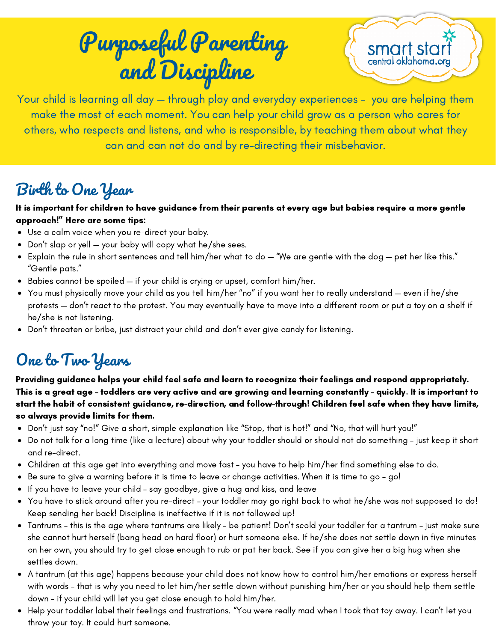## Purposeful Parenting and Discipline



Your child is learning all day — through play and everyday experiences - you are helping them make the most of each moment. You can help your child grow as a person who cares for others, who respects and listens, and who is responsible, by teaching them about what they can and can not do and by re-directing their misbehavior.

### Birth to One Year

It is important for children to have guidance from their parents at every age but babies require a more gentle approach!" Here are some tips:

- Use a calm voice when you re-direct your baby.
- Don't slap or yell your baby will copy what he/she sees.
- Explain the rule in short sentences and tell him/her what to do "We are gentle with the dog pet her like this." "Gentle pats."
- Babies cannot be spoiled if your child is crying or upset, comfort him/her.
- You must physically move your child as you tell him/her "no" if you want her to really understand even if he/she protests — don't react to the protest. You may eventually have to move into a different room or put a toy on a shelf if he/she is not listening.
- Don't threaten or bribe, just distract your child and don't ever give candy for listening.

### One to Two Years

Providing guidance helps your child feel safe and learn to recognize their feelings and respond appropriately. This is a great age – toddlers are very active and are growing and learning constantly – quickly. It is important to start the habit of consistent guidance, re-direction, and follow-through! Children feel safe when they have limits, so always provide limits for them.

- Don't just say "no!" Give a short, simple explanation like "Stop, that is hot!" and "No, that will hurt you!"
- Do not talk for a long time (like a lecture) about why your toddler should or should not do something just keep it short and re-direct.
- Children at this age get into everything and move fast you have to help him/her find something else to do.
- Be sure to give a warning before it is time to leave or change activities. When it is time to go go!
- If you have to leave your child say goodbye, give a hug and kiss, and leave  $\bullet$
- You have to stick around after you re-direct your toddler may go right back to what he/she was not supposed to do! Keep sending her back! Discipline is ineffective if it is not followed up!
- Tantrums this is the age where tantrums are likely be patient! Don't scold your toddler for a tantrum just make sure she cannot hurt herself (bang head on hard floor) or hurt someone else. If he/she does not settle down in five minutes on her own, you should try to get close enough to rub or pat her back. See if you can give her a big hug when she settles down.
- A tantrum (at this age) happens because your child does not know how to control him/her emotions or express herself with words – that is why you need to let him/her settle down without punishing him/her or you should help them settle down – if your child will let you get close enough to hold him/her.
- Help your toddler label their feelings and frustrations. "You were really mad when I took that toy away. I can't let you throw your toy. It could hurt someone.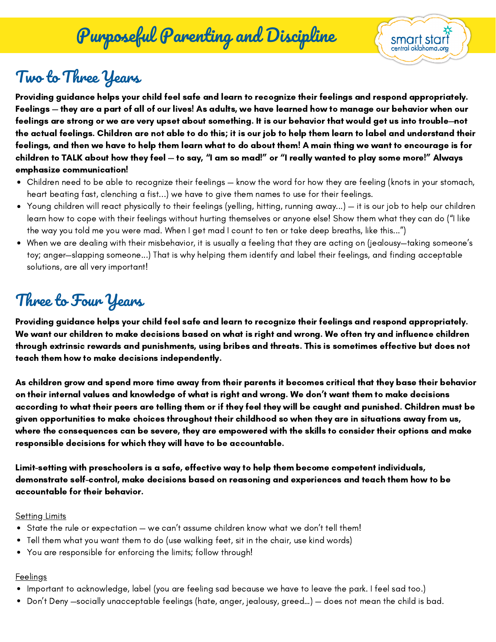## Purposeful Parenting and Discipline



# Two to Three Years

Providing guidance helps your child feel safe and learn to recognize their feelings and respond appropriately. Feelings — they are a part of all of our lives! As adults, we have learned how to manage our behavior when our feelings are strong or we are very upset about something. It is our behavior that would get us into trouble—not the actual feelings. Children are not able to do this; it is our job to help them learn to label and understand their feelings, and then we have to help them learn what to do about them! A main thing we want to encourage is for children to TALK about how they feel — to say, "I am so mad!" or "I really wanted to play some more!" Always emphasize communication!

- Children need to be able to recognize their feelings know the word for how they are feeling (knots in your stomach, heart beating fast, clenching a fist...) we have to give them names to use for their feelings.
- Young children will react physically to their feelings (yelling, hitting, running away...) it is our job to help our children learn how to cope with their feelings without hurting themselves or anyone else! Show them what they can do ("I like the way you told me you were mad. When I get mad I count to ten or take deep breaths, like this...")
- When we are dealing with their misbehavior, it is usually a feeling that they are acting on (jealousy—taking someone's toy; anger—slapping someone...) That is why helping them identify and label their feelings, and finding acceptable solutions, are all very important!

### Three to Four Years

Providing guidance helps your child feel safe and learn to recognize their feelings and respond appropriately. We want our children to make decisions based on what is right and wrong. We often try and influence children through extrinsic rewards and punishments, using bribes and threats. This is sometimes effective but does not teach them how to make decisions independently.

As children grow and spend more time away from their parents it becomes critical that they base their behavior on their internal values and knowledge of what is right and wrong. We don't want them to make decisions according to what their peers are telling them or if they feel they will be caught and punished. Children must be given opportunities to make choices throughout their childhood so when they are in situations away from us, where the consequences can be severe, they are empowered with the skills to consider their options and make responsible decisions for which they will have to be accountable.

Limit-setting with preschoolers is a safe, effective way to help them become competent individuals, demonstrate self-control, make decisions based on reasoning and experiences and teach them how to be accountable for their behavior.

#### **Setting Limits**

- $\bullet$  State the rule or expectation we can't assume children know what we don't tell them!
- Tell them what you want them to do (use walking feet, sit in the chair, use kind words)
- You are responsible for enforcing the limits; follow through!

#### **Feelings**

- Important to acknowledge, label (you are feeling sad because we have to leave the park. I feel sad too.)
- Don't Deny —socially unacceptable feelings (hate, anger, jealousy, greed…) does not mean the child is bad.